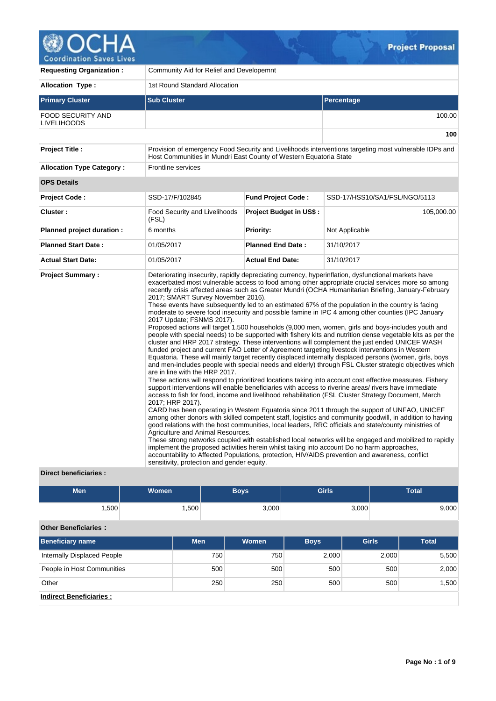

V

| <b>Requesting Organization:</b>                 | Community Aid for Relief and Developemnt                                                                                                                                                                 |                                |                                                                                                                                                                                                                                                                                                                                                                                                                                                                                                                                                                                                                                                                                                                                                                                                                                                                                                                                                                                                                                                                                                                                                                                                                                                                                                                                                                                                                                                                                                                                                                                                                                                                                                                                                                                                                                                                                                                                                                                                                                                                                                                                   |  |  |  |
|-------------------------------------------------|----------------------------------------------------------------------------------------------------------------------------------------------------------------------------------------------------------|--------------------------------|-----------------------------------------------------------------------------------------------------------------------------------------------------------------------------------------------------------------------------------------------------------------------------------------------------------------------------------------------------------------------------------------------------------------------------------------------------------------------------------------------------------------------------------------------------------------------------------------------------------------------------------------------------------------------------------------------------------------------------------------------------------------------------------------------------------------------------------------------------------------------------------------------------------------------------------------------------------------------------------------------------------------------------------------------------------------------------------------------------------------------------------------------------------------------------------------------------------------------------------------------------------------------------------------------------------------------------------------------------------------------------------------------------------------------------------------------------------------------------------------------------------------------------------------------------------------------------------------------------------------------------------------------------------------------------------------------------------------------------------------------------------------------------------------------------------------------------------------------------------------------------------------------------------------------------------------------------------------------------------------------------------------------------------------------------------------------------------------------------------------------------------|--|--|--|
| <b>Allocation Type:</b>                         | 1st Round Standard Allocation                                                                                                                                                                            |                                |                                                                                                                                                                                                                                                                                                                                                                                                                                                                                                                                                                                                                                                                                                                                                                                                                                                                                                                                                                                                                                                                                                                                                                                                                                                                                                                                                                                                                                                                                                                                                                                                                                                                                                                                                                                                                                                                                                                                                                                                                                                                                                                                   |  |  |  |
| <b>Primary Cluster</b>                          | <b>Sub Cluster</b>                                                                                                                                                                                       |                                | Percentage                                                                                                                                                                                                                                                                                                                                                                                                                                                                                                                                                                                                                                                                                                                                                                                                                                                                                                                                                                                                                                                                                                                                                                                                                                                                                                                                                                                                                                                                                                                                                                                                                                                                                                                                                                                                                                                                                                                                                                                                                                                                                                                        |  |  |  |
| FOOD SECURITY AND<br><b>LIVELIHOODS</b>         |                                                                                                                                                                                                          |                                | 100.00                                                                                                                                                                                                                                                                                                                                                                                                                                                                                                                                                                                                                                                                                                                                                                                                                                                                                                                                                                                                                                                                                                                                                                                                                                                                                                                                                                                                                                                                                                                                                                                                                                                                                                                                                                                                                                                                                                                                                                                                                                                                                                                            |  |  |  |
|                                                 |                                                                                                                                                                                                          |                                | 100                                                                                                                                                                                                                                                                                                                                                                                                                                                                                                                                                                                                                                                                                                                                                                                                                                                                                                                                                                                                                                                                                                                                                                                                                                                                                                                                                                                                                                                                                                                                                                                                                                                                                                                                                                                                                                                                                                                                                                                                                                                                                                                               |  |  |  |
| <b>Project Title:</b>                           | Host Communities in Mundri East County of Western Equatoria State                                                                                                                                        |                                | Provision of emergency Food Security and Livelihoods interventions targeting most vulnerable IDPs and                                                                                                                                                                                                                                                                                                                                                                                                                                                                                                                                                                                                                                                                                                                                                                                                                                                                                                                                                                                                                                                                                                                                                                                                                                                                                                                                                                                                                                                                                                                                                                                                                                                                                                                                                                                                                                                                                                                                                                                                                             |  |  |  |
| <b>Allocation Type Category:</b>                | <b>Frontline services</b>                                                                                                                                                                                |                                |                                                                                                                                                                                                                                                                                                                                                                                                                                                                                                                                                                                                                                                                                                                                                                                                                                                                                                                                                                                                                                                                                                                                                                                                                                                                                                                                                                                                                                                                                                                                                                                                                                                                                                                                                                                                                                                                                                                                                                                                                                                                                                                                   |  |  |  |
| <b>OPS Details</b>                              |                                                                                                                                                                                                          |                                |                                                                                                                                                                                                                                                                                                                                                                                                                                                                                                                                                                                                                                                                                                                                                                                                                                                                                                                                                                                                                                                                                                                                                                                                                                                                                                                                                                                                                                                                                                                                                                                                                                                                                                                                                                                                                                                                                                                                                                                                                                                                                                                                   |  |  |  |
| <b>Project Code:</b>                            | SSD-17/F/102845                                                                                                                                                                                          | <b>Fund Project Code:</b>      | SSD-17/HSS10/SA1/FSL/NGO/5113                                                                                                                                                                                                                                                                                                                                                                                                                                                                                                                                                                                                                                                                                                                                                                                                                                                                                                                                                                                                                                                                                                                                                                                                                                                                                                                                                                                                                                                                                                                                                                                                                                                                                                                                                                                                                                                                                                                                                                                                                                                                                                     |  |  |  |
| Cluster:                                        | <b>Food Security and Livelihoods</b><br>(FSL)                                                                                                                                                            | <b>Project Budget in US\$:</b> | 105,000.00                                                                                                                                                                                                                                                                                                                                                                                                                                                                                                                                                                                                                                                                                                                                                                                                                                                                                                                                                                                                                                                                                                                                                                                                                                                                                                                                                                                                                                                                                                                                                                                                                                                                                                                                                                                                                                                                                                                                                                                                                                                                                                                        |  |  |  |
| Planned project duration :                      | 6 months                                                                                                                                                                                                 | <b>Priority:</b>               | Not Applicable                                                                                                                                                                                                                                                                                                                                                                                                                                                                                                                                                                                                                                                                                                                                                                                                                                                                                                                                                                                                                                                                                                                                                                                                                                                                                                                                                                                                                                                                                                                                                                                                                                                                                                                                                                                                                                                                                                                                                                                                                                                                                                                    |  |  |  |
| <b>Planned Start Date:</b>                      | 01/05/2017                                                                                                                                                                                               | <b>Planned End Date:</b>       | 31/10/2017                                                                                                                                                                                                                                                                                                                                                                                                                                                                                                                                                                                                                                                                                                                                                                                                                                                                                                                                                                                                                                                                                                                                                                                                                                                                                                                                                                                                                                                                                                                                                                                                                                                                                                                                                                                                                                                                                                                                                                                                                                                                                                                        |  |  |  |
| <b>Actual Start Date:</b>                       | 01/05/2017                                                                                                                                                                                               | <b>Actual End Date:</b>        | 31/10/2017                                                                                                                                                                                                                                                                                                                                                                                                                                                                                                                                                                                                                                                                                                                                                                                                                                                                                                                                                                                                                                                                                                                                                                                                                                                                                                                                                                                                                                                                                                                                                                                                                                                                                                                                                                                                                                                                                                                                                                                                                                                                                                                        |  |  |  |
| <b>Project Summary:</b><br>Direct beneficiaries | 2017; SMART Survey November 2016).<br>2017 Update; FSNMS 2017).<br>are in line with the HRP 2017.<br>2017; HRP 2017).<br>Agriculture and Animal Resources.<br>sensitivity, protection and gender equity. |                                | Deteriorating insecurity, rapidly depreciating currency, hyperinflation, dysfunctional markets have<br>exacerbated most vulnerable access to food among other appropriate crucial services more so among<br>recently crisis affected areas such as Greater Mundri (OCHA Humanitarian Briefing, January-February<br>These events have subsequently led to an estimated 67% of the population in the country is facing<br>moderate to severe food insecurity and possible famine in IPC 4 among other counties (IPC January<br>Proposed actions will target 1,500 households (9,000 men, women, girls and boys-includes youth and<br>people with special needs) to be supported with fishery kits and nutrition dense vegetable kits as per the<br>cluster and HRP 2017 strategy. These interventions will complement the just ended UNICEF WASH<br>funded project and current FAO Letter of Agreement targeting livestock interventions in Western<br>Equatoria. These will mainly target recently displaced internally displaced persons (women, girls, boys<br>and men-includes people with special needs and elderly) through FSL Cluster strategic objectives which<br>These actions will respond to prioritized locations taking into account cost effective measures. Fishery<br>support interventions will enable beneficiaries with access to riverine areas/ rivers have immediate<br>access to fish for food, income and livelihood rehabilitation (FSL Cluster Strategy Document, March<br>CARD has been operating in Western Equatoria since 2011 through the support of UNFAO, UNICEF<br>among other donors with skilled competent staff, logistics and community goodwill, in addition to having<br>good relations with the host communities, local leaders, RRC officials and state/county ministries of<br>These strong networks coupled with established local networks will be engaged and mobilized to rapidly<br>implement the proposed activities herein whilst taking into account Do no harm approaches,<br>accountability to Affected Populations, protection, HIV/AIDS prevention and awareness, conflict |  |  |  |

#### **Direct beneficiaries :**

| <b>Men</b>        | <b>Women</b> | <b>Boys</b> | <b>Girls</b> | <b>Total</b> |
|-------------------|--------------|-------------|--------------|--------------|
| .500 <sup>1</sup> | ,500         | 3,000       | 3,000        | 9,000        |

# **Other Beneficiaries :**

| <b>Beneficiary name</b>        | <b>Men</b> | Women | <b>Boys</b> | <b>Girls</b> | <b>Total</b> |
|--------------------------------|------------|-------|-------------|--------------|--------------|
| Internally Displaced People    | 750        | 750   | 2,000       | 2,000        | 5,500        |
| People in Host Communities     | 500        | 500   | 500         | 500          | 2,000        |
| Other                          | 250        | 250   | 500         | 500          | 1.500        |
| <b>Indirect Beneficiaries:</b> |            |       |             |              |              |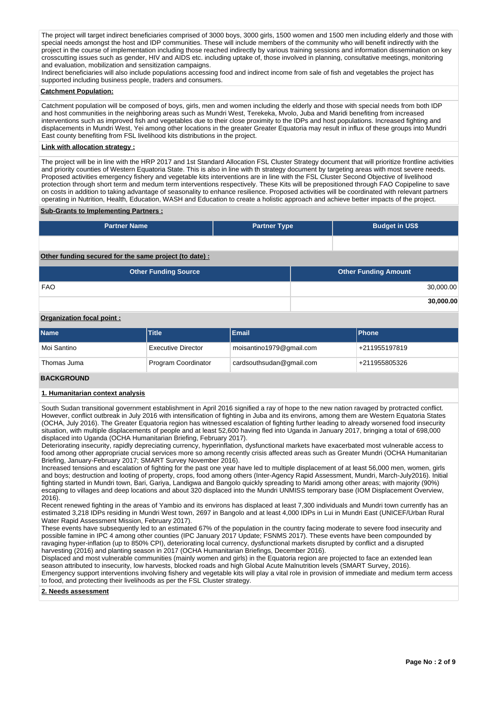The project will target indirect beneficiaries comprised of 3000 boys, 3000 girls, 1500 women and 1500 men including elderly and those with special needs amongst the host and IDP communities. These will include members of the community who will benefit indirectly with the project in the course of implementation including those reached indirectly by various training sessions and information dissemination on key crosscutting issues such as gender, HIV and AIDS etc. including uptake of, those involved in planning, consultative meetings, monitoring and evaluation, mobilization and sensitization campaigns.

Indirect beneficiaries will also include populations accessing food and indirect income from sale of fish and vegetables the project has supported including business people, traders and consumers.

### **Catchment Population:**

Catchment population will be composed of boys, girls, men and women including the elderly and those with special needs from both IDP and host communities in the neighboring areas such as Mundri West, Terekeka, Mvolo, Juba and Maridi benefiting from increased interventions such as improved fish and vegetables due to their close proximity to the IDPs and host populations. Increased fighting and displacements in Mundri West, Yei among other locations in the greater Greater Equatoria may result in influx of these groups into Mundri East county benefiting from FSL livelihood kits distributions in the project.

### **Link with allocation strategy :**

The project will be in line with the HRP 2017 and 1st Standard Allocation FSL Cluster Strategy document that will prioritize frontline activities and priority counties of Western Equatoria State. This is also in line with th strategy document by targeting areas with most severe needs. Proposed activities emergency fishery and vegetable kits interventions are in line with the FSL Cluster Second Objective of livelihood protection through short term and medum term interventions respectively. These Kits will be prepositioned through FAO Copipeline to save on costs in addition to taking advantage of seasonality to enhance resilience. Proposed activities will be coordinated with relevant partners operating in Nutrition, Health, Education, WASH and Education to create a holistic approach and achieve better impacts of the project.

#### **Sub-Grants to Implementing Partners :**

| <b>Partner Name</b>                                   | <b>Partner Type</b> | <b>Budget in US\$</b> |
|-------------------------------------------------------|---------------------|-----------------------|
|                                                       |                     |                       |
| Other funding secured for the same project (to date): |                     |                       |

| <b>Other Funding Source</b> | <b>Other Funding Amount</b> |
|-----------------------------|-----------------------------|
| <b>FAO</b>                  | 30,000.00                   |
|                             | 30,000.00                   |

## **Organization focal point :**

| <b>Name</b> | <b>Title</b>              | Email                    | <b>IPhone</b>              |
|-------------|---------------------------|--------------------------|----------------------------|
| Moi Santino | <b>Executive Director</b> | moisantino1979@gmail.com | <sup>1</sup> +211955197819 |
| Thomas Juma | Program Coordinator       | cardsouthsudan@gmail.com | <sup>1</sup> +211955805326 |

## **BACKGROUND**

#### **1. Humanitarian context analysis**

South Sudan transitional government establishment in April 2016 signified a ray of hope to the new nation ravaged by protracted conflict. However, conflict outbreak in July 2016 with intensification of fighting in Juba and its environs, among them are Western Equatoria States (OCHA, July 2016). The Greater Equatoria region has witnessed escalation of fighting further leading to already worsened food insecurity situation, with multiple displacements of people and at least 52,600 having fled into Uganda in January 2017, bringing a total of 698,000 displaced into Uganda (OCHA Humanitarian Briefing, February 2017).

Deteriorating insecurity, rapidly depreciating currency, hyperinflation, dysfunctional markets have exacerbated most vulnerable access to food among other appropriate crucial services more so among recently crisis affected areas such as Greater Mundri (OCHA Humanitarian Briefing, January-February 2017; SMART Survey November 2016).

Increased tensions and escalation of fighting for the past one year have led to multiple displacement of at least 56,000 men, women, girls and boys; destruction and looting of property, crops, food among others (Inter-Agency Rapid Assessment, Mundri, March-July2016). Initial fighting started in Mundri town, Bari, Gariya, Landigwa and Bangolo quickly spreading to Maridi among other areas; with majority (90%) escaping to villages and deep locations and about 320 displaced into the Mundri UNMISS temporary base (IOM Displacement Overview, 2016).

Recent renewed fighting in the areas of Yambio and its environs has displaced at least 7,300 individuals and Mundri town currently has an estimated 3,218 IDPs residing in Mundri West town, 2697 in Bangolo and at least 4,000 IDPs in Lui in Mundri East (UNICEF/Urban Rural Water Rapid Assessment Mission, February 2017).

These events have subsequently led to an estimated 67% of the population in the country facing moderate to severe food insecurity and possible famine in IPC 4 among other counties (IPC January 2017 Update; FSNMS 2017). These events have been compounded by ravaging hyper-inflation (up to 850% CPI), deteriorating local currency, dysfunctional markets disrupted by conflict and a disrupted harvesting (2016) and planting season in 2017 (OCHA Humanitarian Briefings, December 2016).

Displaced and most vulnerable communities (mainly women and girls) in the Equatoria region are projected to face an extended lean season attributed to insecurity, low harvests, blocked roads and high Global Acute Malnutrition levels (SMART Survey, 2016). Emergency support interventions involving fishery and vegetable kits will play a vital role in provision of immediate and medium term access to food, and protecting their livelihoods as per the FSL Cluster strategy.

#### **2. Needs assessment**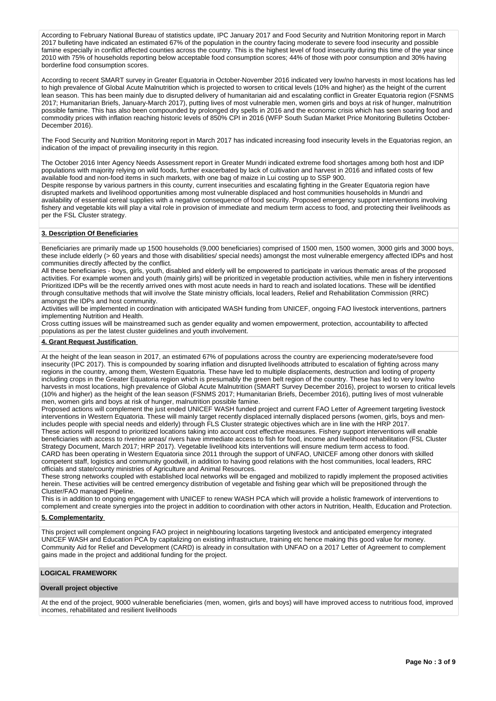According to February National Bureau of statistics update, IPC January 2017 and Food Security and Nutrition Monitoring report in March 2017 bulleting have indicated an estimated 67% of the population in the country facing moderate to severe food insecurity and possible famine especially in conflict affected counties across the country. This is the highest level of food insecurity during this time of the year since 2010 with 75% of households reporting below acceptable food consumption scores; 44% of those with poor consumption and 30% having borderline food consumption scores.

According to recent SMART survey in Greater Equatoria in October-November 2016 indicated very low/no harvests in most locations has led to high prevalence of Global Acute Malnutrition which is projected to worsen to critical levels (10% and higher) as the height of the current lean season. This has been mainly due to disrupted delivery of humanitarian aid and escalating conflict in Greater Equatoria region (FSNMS 2017; Humanitarian Briefs, January-March 2017), putting lives of most vulnerable men, women girls and boys at risk of hunger, malnutrition possible famine. This has also been compounded by prolonged dry spells in 2016 and the economic crisis which has seen soaring food and commodity prices with inflation reaching historic levels of 850% CPI in 2016 (WFP South Sudan Market Price Monitoring Bulletins October-December 2016).

The Food Security and Nutrition Monitoring report in March 2017 has indicated increasing food insecurity levels in the Equatorias region, an indication of the impact of prevailing insecurity in this region.

The October 2016 Inter Agency Needs Assessment report in Greater Mundri indicated extreme food shortages among both host and IDP populations with majority relying on wild foods, further exacerbated by lack of cultivation and harvest in 2016 and inflated costs of few available food and non-food items in such markets, with one bag of maize in Lui costing up to SSP 900.

Despite response by various partners in this county, current insecurities and escalating fighting in the Greater Equatoria region have disrupted markets and livelihood opportunities among most vulnerable displaced and host communities households in Mundri and availability of essential cereal supplies with a negative consequence of food security. Proposed emergency support interventions involving fishery and vegetable kits will play a vital role in provision of immediate and medium term access to food, and protecting their livelihoods as per the FSL Cluster strategy.

## **3. Description Of Beneficiaries**

Beneficiaries are primarily made up 1500 households (9,000 beneficiaries) comprised of 1500 men, 1500 women, 3000 girls and 3000 boys, these include elderly (> 60 years and those with disabilities/ special needs) amongst the most vulnerable emergency affected IDPs and host communities directly affected by the conflict.

All these beneficiaries - boys, girls, youth, disabled and elderly will be empowered to participate in various thematic areas of the proposed activities. For example women and youth (mainly girls) will be prioritized in vegetable production activities, while men in fishery interventions Prioritized IDPs will be the recently arrived ones with most acute needs in hard to reach and isolated locations. These will be identified through consultative methods that will involve the State ministry officials, local leaders, Relief and Rehabilitation Commission (RRC) amongst the IDPs and host community.

Activities will be implemented in coordination with anticipated WASH funding from UNICEF, ongoing FAO livestock interventions, partners implementing Nutrition and Health.

Cross cutting issues will be mainstreamed such as gender equality and women empowerment, protection, accountability to affected populations as per the latest cluster guidelines and youth involvement.

## **4. Grant Request Justification**

At the height of the lean season in 2017, an estimated 67% of populations across the country are experiencing moderate/severe food insecurity (IPC 2017). This is compounded by soaring inflation and disrupted livelihoods attributed to escalation of fighting across many regions in the country, among them, Western Equatoria. These have led to multiple displacements, destruction and looting of property including crops in the Greater Equatoria region which is presumably the green belt region of the country. These has led to very low/no harvests in most locations, high prevalence of Global Acute Malnutrition (SMART Survey December 2016), project to worsen to critical levels (10% and higher) as the height of the lean season (FSNMS 2017; Humanitarian Briefs, December 2016), putting lives of most vulnerable men, women girls and boys at risk of hunger, malnutrition possible famine.

Proposed actions will complement the just ended UNICEF WASH funded project and current FAO Letter of Agreement targeting livestock interventions in Western Equatoria. These will mainly target recently displaced internally displaced persons (women, girls, boys and menincludes people with special needs and elderly) through FLS Cluster strategic objectives which are in line with the HRP 2017. These actions will respond to prioritized locations taking into account cost effective measures. Fishery support interventions will enable

beneficiaries with access to riverine areas/ rivers have immediate access to fish for food, income and livelihood rehabilitation (FSL Cluster Strategy Document, March 2017; HRP 2017). Vegetable livelihood kits interventions will ensure medium term access to food. CARD has been operating in Western Equatoria since 2011 through the support of UNFAO, UNICEF among other donors with skilled competent staff, logistics and community goodwill, in addition to having good relations with the host communities, local leaders, RRC

officials and state/county ministries of Agriculture and Animal Resources. These strong networks coupled with established local networks will be engaged and mobilized to rapidly implement the proposed activities herein. These activities will be centred emergency distribution of vegetable and fishing gear which will be prepositioned through the

Cluster/FAO managed Pipeline. This is in addition to ongoing engagement with UNICEF to renew WASH PCA which will provide a holistic framework of interventions to complement and create synergies into the project in addition to coordination with other actors in Nutrition, Health, Education and Protection.

## **5. Complementarity**

This project will complement ongoing FAO project in neighbouring locations targeting livestock and anticipated emergency integrated UNICEF WASH and Education PCA by capitalizing on existing infrastructure, training etc hence making this good value for money. Community Aid for Relief and Development (CARD) is already in consultation with UNFAO on a 2017 Letter of Agreement to complement gains made in the project and additional funding for the project.

## **LOGICAL FRAMEWORK**

#### **Overall project objective**

At the end of the project, 9000 vulnerable beneficiaries (men, women, girls and boys) will have improved access to nutritious food, improved incomes, rehabilitated and resilient livelihoods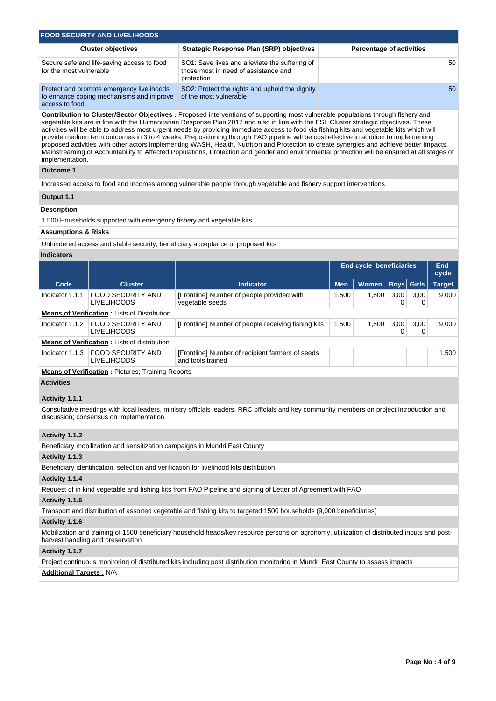| <b>FOOD SECURITY AND LIVELIHOODS</b>                                                                    |                                                                                                      |                                 |
|---------------------------------------------------------------------------------------------------------|------------------------------------------------------------------------------------------------------|---------------------------------|
| <b>Cluster objectives</b>                                                                               | Strategic Response Plan (SRP) objectives                                                             | <b>Percentage of activities</b> |
| Secure safe and life-saving access to food<br>for the most vulnerable                                   | SO1: Save lives and alleviate the suffering of<br>those most in need of assistance and<br>protection | 50                              |
| Protect and promote emergency livelihoods<br>to enhance coping mechanisms and improve<br>access to food | SO2: Protect the rights and uphold the dignity<br>of the most vulnerable                             | 50                              |

#### **Contribution to Cluster/Sector Objectives :** Proposed interventions of supporting most vulnerable populations through fishery and vegetable kits are in line with the Humanitarian Response Plan 2017 and also in line with the FSL Cluster strategic objectives. These activities will be able to address most urgent needs by providing immediate access to food via fishing kits and vegetable kits which will provide medium term outcomes in 3 to 4 weeks. Prepositioning through FAO pipeline will be cost effective in addition to implementing proposed activities with other actors implementing WASH, Health, Nutrition and Protection to create synergies and achieve better impacts. Mainstreaming of Accountability to Affected Populations, Protection and gender and environmental protection will be ensured at all stages of implementation.

#### **Outcome 1**

Increased access to food and incomes among vulnerable people through vegetable and fishery support interventions

#### **Output 1.1**

### **Description**

1,500 Households supported with emergency fishery and vegetable kits

### **Assumptions & Risks**

Unhindered access and stable security, beneficiary acceptance of proposed kits

## **Indicators**

|                 |                                                     |                                                                       |            | <b>End cycle beneficiaries</b> |                   |           | End<br>cycle  |
|-----------------|-----------------------------------------------------|-----------------------------------------------------------------------|------------|--------------------------------|-------------------|-----------|---------------|
| Code            | <b>Cluster</b>                                      | <b>Indicator</b>                                                      | <b>Men</b> | <b>Women</b>                   | <b>Boys</b> Girls |           | <b>Target</b> |
| Indicator 1.1.1 | <b>FOOD SECURITY AND</b><br><b>LIVELIHOODS</b>      | [Frontline] Number of people provided with<br>vegetable seeds         | 1,500      | 1.500                          | 3,00              | 3,00<br>0 | 9,000         |
|                 | <b>Means of Verification: Lists of Distribution</b> |                                                                       |            |                                |                   |           |               |
| Indicator 1.1.2 | <b>FOOD SECURITY AND</b><br><b>LIVELIHOODS</b>      | [Frontline] Number of people receiving fishing kits                   | 1,500      | 1,500                          | 3,00              | 3,00      | 9,000         |
|                 | <b>Means of Verification:</b> Lists of distribution |                                                                       |            |                                |                   |           |               |
| Indicator 1.1.3 | <b>FOOD SECURITY AND</b><br><b>LIVELIHOODS</b>      | [Frontline] Number of recipient farmers of seeds<br>and tools trained |            |                                |                   |           | 1,500         |
|                 | Means of Verification : Pictures: Training Penorts  |                                                                       |            |                                |                   |           |               |

**Verification :** Pictures; Training Reports

**Activities**

### **Activity 1.1.1**

Consultative meetings with local leaders, ministry officials leaders, RRC officials and key community members on project introduction and discussion; consensus on implementation

## **Activity 1.1.2**

Beneficiary mobilization and sensitization campaigns in Mundri East County

#### **Activity 1.1.3**

Beneficiary identification, selection and verification for livelihood kits distribution

#### **Activity 1.1.4**

Request of in kind vegetable and fishing kits from FAO Pipeline and signing of Letter of Agreement with FAO

#### **Activity 1.1.5**

Transport and distribution of assorted vegetable and fishing kits to targeted 1500 households (9,000 beneficiaries)

## **Activity 1.1.6**

Mobilization and training of 1500 beneficiary household heads/key resource persons on agronomy, utlilization of distributed inputs and postharvest handling and preservation

### **Activity 1.1.7**

Project continuous monitoring of distributed kits including post distribution monitoring in Mundri East County to assess impacts

**Additional Targets :** N/A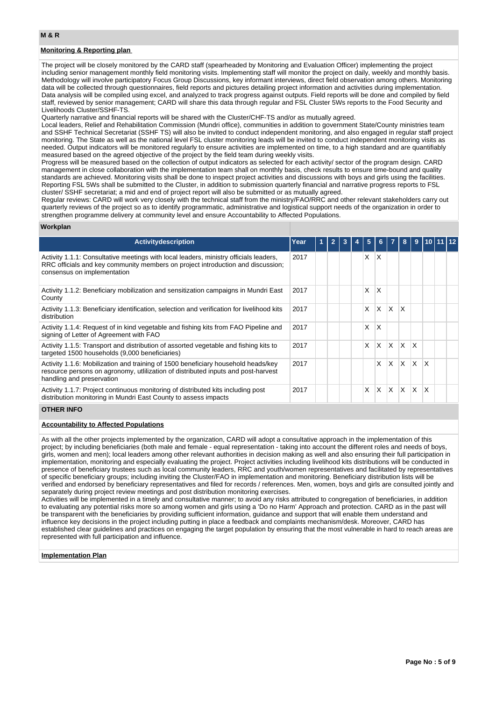## **Monitoring & Reporting plan**

The project will be closely monitored by the CARD staff (spearheaded by Monitoring and Evaluation Officer) implementing the project including senior management monthly field monitoring visits. Implementing staff will monitor the project on daily, weekly and monthly basis. Methodology will involve participatory Focus Group Discussions, key informant interviews, direct field observation among others. Monitoring data will be collected through questionnaires, field reports and pictures detailing project information and activities during implementation. Data analysis will be compiled using excel, and analyzed to track progress against outputs. Field reports will be done and compiled by field staff, reviewed by senior management; CARD will share this data through regular and FSL Cluster 5Ws reports to the Food Security and Livelihoods Cluster/SSHF-TS.

Quarterly narrative and financial reports will be shared with the Cluster/CHF-TS and/or as mutually agreed.

Local leaders, Relief and Rehabilitation Commission (Mundri office), communities in addition to government State/County ministries team and SSHF Technical Secretariat (SSHF TS) will also be invited to conduct independent monitoring, and also engaged in regular staff project monitoring. The State as well as the national level FSL cluster monitoring leads will be invited to conduct independent monitoring visits as needed. Output indicators will be monitored regularly to ensure activities are implemented on time, to a high standard and are quantifiably measured based on the agreed objective of the project by the field team during weekly visits.

Progress will be measured based on the collection of output indicators as selected for each activity/ sector of the program design. CARD management in close collaboration with the implementation team shall on monthly basis, check results to ensure time-bound and quality standards are achieved. Monitoring visits shall be done to inspect project activities and discussions with boys and girls using the facilities. Reporting FSL 5Ws shall be submitted to the Cluster, in addition to submission quarterly financial and narrative progress reports to FSL cluster/ SSHF secretariat; a mid and end of project report will also be submitted or as mutually agreed.

Regular reviews: CARD will work very closely with the technical staff from the ministry/FAO/RRC and other relevant stakeholders carry out quarterly reviews of the project so as to identify programmatic, administrative and logistical support needs of the organization in order to strengthen programme delivery at community level and ensure Accountability to Affected Populations.

#### **Workplan**

| <b>Activity description</b>                                                                                                                                                                             | Year | 1 |  | 5 | 6.       |              | 8        | 9        |              |  |
|---------------------------------------------------------------------------------------------------------------------------------------------------------------------------------------------------------|------|---|--|---|----------|--------------|----------|----------|--------------|--|
| Activity 1.1.1: Consultative meetings with local leaders, ministry officials leaders,<br>RRC officials and key community members on project introduction and discussion;<br>consensus on implementation | 2017 |   |  | X | $\times$ |              |          |          |              |  |
| Activity 1.1.2: Beneficiary mobilization and sensitization campaigns in Mundri East<br>County                                                                                                           | 2017 |   |  | x | X        |              |          |          |              |  |
| Activity 1.1.3: Beneficiary identification, selection and verification for livelihood kits<br>distribution                                                                                              | 2017 |   |  | x | X        | X.           | X        |          |              |  |
| Activity 1.1.4: Request of in kind vegetable and fishing kits from FAO Pipeline and<br>signing of Letter of Agreement with FAO                                                                          | 2017 |   |  | X | X        |              |          |          |              |  |
| Activity 1.1.5: Transport and distribution of assorted vegetable and fishing kits to<br>targeted 1500 households (9,000 beneficiaries)                                                                  | 2017 |   |  | X | X        | X.           | X.       | X        |              |  |
| Activity 1.1.6: Mobilization and training of 1500 beneficiary household heads/key<br>resource persons on agronomy, utilization of distributed inputs and post-harvest<br>handling and preservation      | 2017 |   |  |   | X        | X.           | X.       | $\times$ | $\mathsf{x}$ |  |
| Activity 1.1.7: Project continuous monitoring of distributed kits including post<br>distribution monitoring in Mundri East County to assess impacts                                                     | 2017 |   |  | X | ΙX.      | $\mathsf{X}$ | <b>X</b> | <b>X</b> | X            |  |

### **OTHER INFO**

#### **Accountability to Affected Populations**

As with all the other projects implemented by the organization, CARD will adopt a consultative approach in the implementation of this project; by including beneficiaries (both male and female - equal representation - taking into account the different roles and needs of boys, girls, women and men); local leaders among other relevant authorities in decision making as well and also ensuring their full participation in implementation, monitoring and especially evaluating the project. Project activities including livelihood kits distributions will be conducted in presence of beneficiary trustees such as local community leaders, RRC and youth/women representatives and facilitated by representatives of specific beneficiary groups; including inviting the Cluster/FAO in implementation and monitoring. Beneficiary distribution lists will be verified and endorsed by beneficiary representatives and filed for records / references. Men, women, boys and girls are consulted jointly and separately during project review meetings and post distribution monitoring exercises.

Activities will be implemented in a timely and consultative manner; to avoid any risks attributed to congregation of beneficiaries, in addition to evaluating any potential risks more so among women and girls using a 'Do no Harm' Approach and protection. CARD as in the past will be transparent with the beneficiaries by providing sufficient information, guidance and support that will enable them understand and influence key decisions in the project including putting in place a feedback and complaints mechanism/desk. Moreover, CARD has established clear guidelines and practices on engaging the target population by ensuring that the most vulnerable in hard to reach areas are represented with full participation and influence.

#### **Implementation Plan**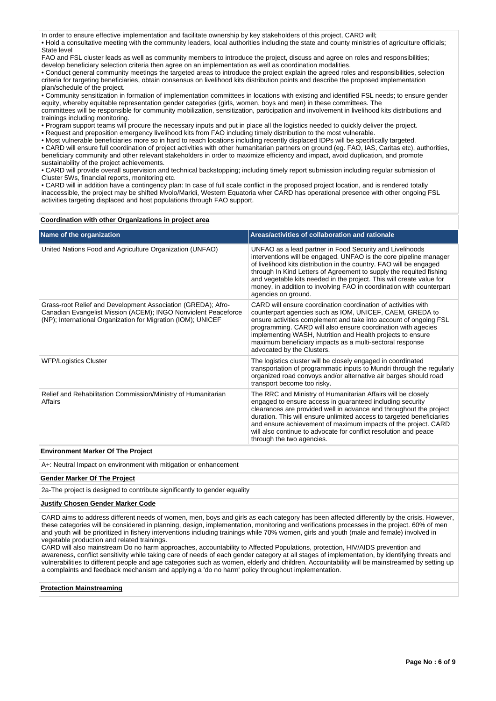In order to ensure effective implementation and facilitate ownership by key stakeholders of this project, CARD will; • Hold a consultative meeting with the community leaders, local authorities including the state and county ministries of agriculture officials; State level

FAO and FSL cluster leads as well as community members to introduce the project, discuss and agree on roles and responsibilities; develop beneficiary selection criteria then agree on an implementation as well as coordination modalities.

• Conduct general community meetings the targeted areas to introduce the project explain the agreed roles and responsibilities, selection criteria for targeting beneficiaries, obtain consensus on livelihood kits distribution points and describe the proposed implementation plan/schedule of the project.

• Community sensitization in formation of implementation committees in locations with existing and identified FSL needs; to ensure gender equity, whereby equitable representation gender categories (girls, women, boys and men) in these committees. The committees will be responsible for community mobilization, sensitization, participation and involvement in livelihood kits distributions and trainings including monitoring.

• Program support teams will procure the necessary inputs and put in place all the logistics needed to quickly deliver the project.

• Request and preposition emergency livelihood kits from FAO including timely distribution to the most vulnerable.

• Most vulnerable beneficiaries more so in hard to reach locations including recently displaced IDPs will be specifically targeted.

• CARD will ensure full coordination of project activities with other humanitarian partners on ground (eg. FAO, IAS, Caritas etc), authorities, beneficiary community and other relevant stakeholders in order to maximize efficiency and impact, avoid duplication, and promote sustainability of the project achievements.

• CARD will provide overall supervision and technical backstopping; including timely report submission including regular submission of Cluster 5Ws, financial reports, monitoring etc.

• CARD will in addition have a contingency plan: In case of full scale conflict in the proposed project location, and is rendered totally inaccessible, the project may be shifted Mvolo/Maridi, Western Equatoria wher CARD has operational presence with other ongoing FSL activities targeting displaced and host populations through FAO support.

#### **Coordination with other Organizations in project area**

| Name of the organization                                                                                                                                                                       | Areas/activities of collaboration and rationale                                                                                                                                                                                                                                                                                                                                                                                                    |
|------------------------------------------------------------------------------------------------------------------------------------------------------------------------------------------------|----------------------------------------------------------------------------------------------------------------------------------------------------------------------------------------------------------------------------------------------------------------------------------------------------------------------------------------------------------------------------------------------------------------------------------------------------|
| United Nations Food and Agriculture Organization (UNFAO)                                                                                                                                       | UNFAO as a lead partner in Food Security and Livelihoods<br>interventions will be engaged. UNFAO is the core pipeline manager<br>of livelihood kits distribution in the country. FAO will be engaged<br>through In Kind Letters of Agreement to supply the requited fishing<br>and vegetable kits needed in the project. This will create value for<br>money, in addition to involving FAO in coordination with counterpart<br>agencies on ground. |
| Grass-root Relief and Development Association (GREDA); Afro-<br>Canadian Evangelist Mission (ACEM); INGO Nonviolent Peaceforce<br>(NP); International Organization for Migration (IOM); UNICEF | CARD will ensure coordination coordination of activities with<br>counterpart agencies such as IOM, UNICEF, CAEM, GREDA to<br>ensure activities complement and take into account of ongoing FSL<br>programming. CARD will also ensure coordination with agecies<br>implementing WASH, Nutrition and Health projects to ensure<br>maximum beneficiary impacts as a multi-sectoral response<br>advocated by the Clusters.                             |
| <b>WFP/Logistics Cluster</b>                                                                                                                                                                   | The logistics cluster will be closely engaged in coordinated<br>transportation of programmatic inputs to Mundri through the regularly<br>organized road convoys and/or alternative air barges should road<br>transport become too risky.                                                                                                                                                                                                           |
| Relief and Rehabilitation Commission/Ministry of Humanitarian<br>Affairs                                                                                                                       | The RRC and Ministry of Humanitarian Affairs will be closely<br>engaged to ensure access in guaranteed including security<br>clearances are provided well in advance and throughout the project<br>duration. This will ensure unlimited access to targeted beneficiaries<br>and ensure achievement of maximum impacts of the project. CARD<br>will also continue to advocate for conflict resolution and peace<br>through the two agencies.        |

## **Environment Marker Of The Project**

A+: Neutral Impact on environment with mitigation or enhancement

### **Gender Marker Of The Project**

2a-The project is designed to contribute significantly to gender equality

### **Justify Chosen Gender Marker Code**

CARD aims to address different needs of women, men, boys and girls as each category has been affected differently by the crisis. However, these categories will be considered in planning, design, implementation, monitoring and verifications processes in the project. 60% of men and youth will be prioritized in fishery interventions including trainings while 70% women, girls and youth (male and female) involved in vegetable production and related trainings.

CARD will also mainstream Do no harm approaches, accountability to Affected Populations, protection, HIV/AIDS prevention and awareness, conflict sensitivity while taking care of needs of each gender category at all stages of implementation, by identifying threats and vulnerabilities to different people and age categories such as women, elderly and children. Accountability will be mainstreamed by setting up a complaints and feedback mechanism and applying a 'do no harm' policy throughout implementation.

#### **Protection Mainstreaming**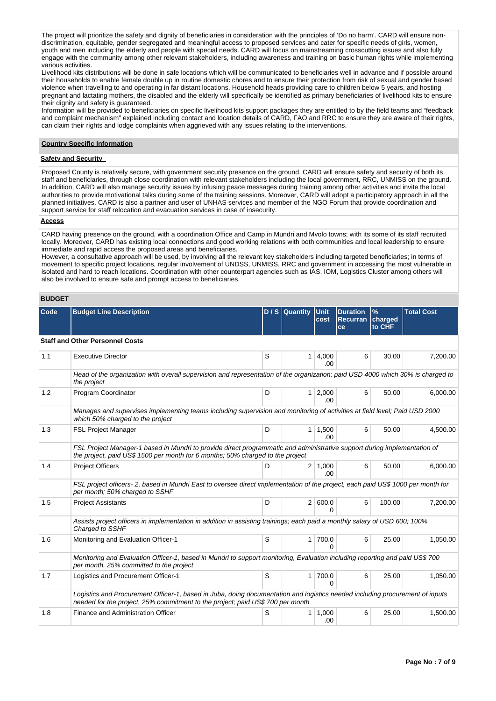The project will prioritize the safety and dignity of beneficiaries in consideration with the principles of 'Do no harm'. CARD will ensure nondiscrimination, equitable, gender segregated and meaningful access to proposed services and cater for specific needs of girls, women, youth and men including the elderly and people with special needs. CARD will focus on mainstreaming crosscutting issues and also fully engage with the community among other relevant stakeholders, including awareness and training on basic human rights while implementing various activities.

Livelihood kits distributions will be done in safe locations which will be communicated to beneficiaries well in advance and if possible around their households to enable female double up in routine domestic chores and to ensure their protection from risk of sexual and gender based violence when travelling to and operating in far distant locations. Household heads providing care to children below 5 years, and hosting pregnant and lactating mothers, the disabled and the elderly will specifically be identified as primary beneficiaries of livelihood kits to ensure their dignity and safety is guaranteed.

Information will be provided to beneficiaries on specific livelihood kits support packages they are entitled to by the field teams and "feedback and complaint mechanism" explained including contact and location details of CARD, FAO and RRC to ensure they are aware of their rights, can claim their rights and lodge complaints when aggrieved with any issues relating to the interventions.

#### **Country Specific Information**

## **Safety and Security**

Proposed County is relatively secure, with government security presence on the ground. CARD will ensure safety and security of both its staff and beneficiaries, through close coordination with relevant stakeholders including the local government, RRC, UNMISS on the ground. In addition, CARD will also manage security issues by infusing peace messages during training among other activities and invite the local authorities to provide motivational talks during some of the training sessions. Moreover, CARD will adopt a participatory approach in all the planned initiatives. CARD is also a partner and user of UNHAS services and member of the NGO Forum that provide coordination and support service for staff relocation and evacuation services in case of insecurity.

## **Access**

CARD having presence on the ground, with a coordination Office and Camp in Mundri and Mvolo towns; with its some of its staff recruited locally. Moreover, CARD has existing local connections and good working relations with both communities and local leadership to ensure immediate and rapid access the proposed areas and beneficiaries.

However, a consultative approach will be used, by involving all the relevant key stakeholders including targeted beneficiaries; in terms of movement to specific project locations, regular involvement of UNDSS, UNMISS, RRC and government in accessing the most vulnerable in isolated and hard to reach locations. Coordination with other counterpart agencies such as IAS, IOM, Logistics Cluster among others will also be involved to ensure safe and prompt access to beneficiaries.

### **BUDGET**

| Code | <b>Budget Line Description</b>                                                                                                                                                                                 |   | D / S Quantity Unit | cost                  | <b>Duration</b><br><b>Recurran</b><br>ce | $\frac{9}{6}$<br>charged<br>to CHF | <b>Total Cost</b> |
|------|----------------------------------------------------------------------------------------------------------------------------------------------------------------------------------------------------------------|---|---------------------|-----------------------|------------------------------------------|------------------------------------|-------------------|
|      | <b>Staff and Other Personnel Costs</b>                                                                                                                                                                         |   |                     |                       |                                          |                                    |                   |
| 1.1  | <b>Executive Director</b>                                                                                                                                                                                      | S | 1                   | 4,000<br>.00          | 6                                        | 30.00                              | 7,200.00          |
|      | Head of the organization with overall supervision and representation of the organization; paid USD 4000 which 30% is charged to<br>the project                                                                 |   |                     |                       |                                          |                                    |                   |
| 1.2  | Program Coordinator                                                                                                                                                                                            | D | 1 <sup>1</sup>      | 2,000<br>.00          | 6                                        | 50.00                              | 6,000.00          |
|      | Manages and supervises implementing teams including supervision and monitoring of activities at field level; Paid USD 2000<br>which 50% charged to the project                                                 |   |                     |                       |                                          |                                    |                   |
| 1.3  | <b>FSL Project Manager</b>                                                                                                                                                                                     | D | 1 <sup>1</sup>      | 1,500<br>.00          | 6                                        | 50.00                              | 4,500.00          |
|      | FSL Project Manager-1 based in Mundri to provide direct programmatic and administrative support during implementation of<br>the project, paid US\$ 1500 per month for 6 months; 50% charged to the project     |   |                     |                       |                                          |                                    |                   |
| 1.4  | <b>Project Officers</b>                                                                                                                                                                                        | D |                     | $2 \mid 1,000$<br>.00 | 6                                        | 50.00                              | 6.000.00          |
|      | FSL project officers- 2, based in Mundri East to oversee direct implementation of the project, each paid US\$ 1000 per month for<br>per month; 50% charged to SSHF                                             |   |                     |                       |                                          |                                    |                   |
| 1.5  | <b>Project Assistants</b>                                                                                                                                                                                      | D | 2 <sup>1</sup>      | 600.0<br>O            | 6                                        | 100.00                             | 7.200.00          |
|      | Assists project officers in implementation in addition in assisting trainings; each paid a monthly salary of USD 600; 100%<br>Charged to SSHF                                                                  |   |                     |                       |                                          |                                    |                   |
| 1.6  | Monitoring and Evaluation Officer-1                                                                                                                                                                            | S | 1                   | 700.0<br>O            | 6                                        | 25.00                              | 1,050.00          |
|      | Monitoring and Evaluation Officer-1, based in Mundri to support monitoring, Evaluation including reporting and paid US\$ 700<br>per month, 25% committed to the project                                        |   |                     |                       |                                          |                                    |                   |
| 1.7  | Logistics and Procurement Officer-1                                                                                                                                                                            | S | 1                   | 700.0<br>O            | 6                                        | 25.00                              | 1,050.00          |
|      | Logistics and Procurement Officer-1, based in Juba, doing documentation and logistics needed including procurement of inputs<br>needed for the project, 25% commitment to the project; paid US\$ 700 per month |   |                     |                       |                                          |                                    |                   |
| 1.8  | Finance and Administration Officer                                                                                                                                                                             | S | 1                   | 1,000<br>.00          | 6                                        | 25.00                              | 1,500.00          |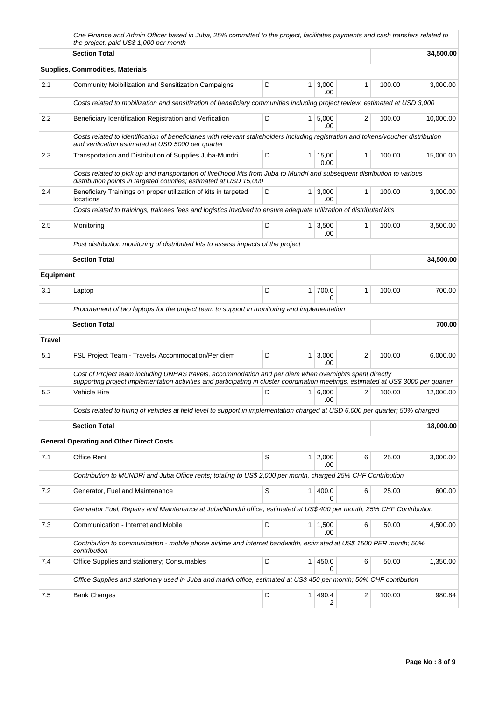|                  | One Finance and Admin Officer based in Juba, 25% committed to the project, facilitates payments and cash transfers related to<br>the project, paid US\$ 1,000 per month                                                                        |   |                |                        |                |        |           |
|------------------|------------------------------------------------------------------------------------------------------------------------------------------------------------------------------------------------------------------------------------------------|---|----------------|------------------------|----------------|--------|-----------|
|                  | <b>Section Total</b>                                                                                                                                                                                                                           |   |                |                        |                |        | 34,500.00 |
|                  | <b>Supplies, Commodities, Materials</b>                                                                                                                                                                                                        |   |                |                        |                |        |           |
| 2.1              | Community Moibilization and Sensitization Campaigns                                                                                                                                                                                            | D | $\mathbf{1}$   | 3,000<br>.00           | 1              | 100.00 | 3,000.00  |
|                  | Costs related to mobilization and sensitization of beneficiary communities including project review, estimated at USD 3,000                                                                                                                    |   |                |                        |                |        |           |
| 2.2              | Beneficiary Identification Registration and Verfication                                                                                                                                                                                        | D |                | $1 \mid 5,000$<br>.00  | 2              | 100.00 | 10,000.00 |
|                  | Costs related to identification of beneficiaries with relevant stakeholders including registration and tokens/voucher distribution<br>and verification estimated at USD 5000 per quarter                                                       |   |                |                        |                |        |           |
| 2.3              | Transportation and Distribution of Supplies Juba-Mundri                                                                                                                                                                                        | D |                | $1 \mid 15,00$<br>0.00 | 1              | 100.00 | 15,000.00 |
|                  | Costs related to pick up and transportation of livelihood kits from Juba to Mundri and subsequent distribution to various<br>distribution points in targeted counties; estimated at USD 15,000                                                 |   |                |                        |                |        |           |
| 2.4              | Beneficiary Trainings on proper utilization of kits in targeted<br>locations                                                                                                                                                                   | D | 1              | 3,000<br>.00           | 1              | 100.00 | 3,000.00  |
|                  | Costs related to trainings, trainees fees and logistics involved to ensure adequate utilization of distributed kits                                                                                                                            |   |                |                        |                |        |           |
| 2.5              | Monitoring                                                                                                                                                                                                                                     | D | 1 <sup>1</sup> | 3,500<br>.00           | 1              | 100.00 | 3,500.00  |
|                  | Post distribution monitoring of distributed kits to assess impacts of the project                                                                                                                                                              |   |                |                        |                |        |           |
|                  | <b>Section Total</b>                                                                                                                                                                                                                           |   |                |                        |                |        | 34,500.00 |
| <b>Equipment</b> |                                                                                                                                                                                                                                                |   |                |                        |                |        |           |
| 3.1              | Laptop                                                                                                                                                                                                                                         | D | 1              | 700.0<br>0             | 1              | 100.00 | 700.00    |
|                  | Procurement of two laptops for the project team to support in monitoring and implementation                                                                                                                                                    |   |                |                        |                |        |           |
|                  | <b>Section Total</b>                                                                                                                                                                                                                           |   |                |                        |                |        | 700.00    |
| <b>Travel</b>    |                                                                                                                                                                                                                                                |   |                |                        |                |        |           |
| 5.1              | FSL Project Team - Travels/ Accommodation/Per diem                                                                                                                                                                                             | D | 1 <sup>1</sup> | 3,000<br>.00           | $\overline{2}$ | 100.00 | 6,000.00  |
|                  |                                                                                                                                                                                                                                                |   |                |                        |                |        |           |
|                  | Cost of Project team including UNHAS travels, accommodation and per diem when overnights spent directly<br>supporting project implementation activities and participating in cluster coordination meetings, estimated at US\$ 3000 per quarter |   |                |                        |                |        |           |
| 5.2              | Vehicle Hire                                                                                                                                                                                                                                   | D | 1              | 6,000<br>.00           | 2              | 100.00 | 12.000.00 |
|                  | Costs related to hiring of vehicles at field level to support in implementation charged at USD 6,000 per quarter; 50% charged                                                                                                                  |   |                |                        |                |        |           |
|                  | <b>Section Total</b>                                                                                                                                                                                                                           |   |                |                        |                |        | 18,000.00 |
|                  | <b>General Operating and Other Direct Costs</b>                                                                                                                                                                                                |   |                |                        |                |        |           |
| 7.1              | Office Rent                                                                                                                                                                                                                                    | S | 1              | 2,000<br>.00           | 6              | 25.00  | 3,000.00  |
|                  | Contribution to MUNDRi and Juba Office rents; totaling to US\$ 2,000 per month, charged 25% CHF Contribution                                                                                                                                   |   |                |                        |                |        |           |
| 7.2              | Generator, Fuel and Maintenance                                                                                                                                                                                                                | S | 1 <sup>1</sup> | 400.0<br>0             | 6              | 25.00  | 600.00    |
|                  | Generator Fuel, Repairs and Maintenance at Juba/Mundrii office, estimated at US\$ 400 per month, 25% CHF Contribution                                                                                                                          |   |                |                        |                |        |           |
| 7.3              | Communication - Internet and Mobile                                                                                                                                                                                                            | D | 1 <sup>1</sup> | 1,500<br>.00           | 6              | 50.00  | 4,500.00  |
|                  | Contribution to communication - mobile phone airtime and internet bandwidth, estimated at US\$ 1500 PER month; 50%<br>contribution                                                                                                             |   |                |                        |                |        |           |
| 7.4              | Office Supplies and stationery; Consumables                                                                                                                                                                                                    | D | 1              | 450.0<br>0             | 6              | 50.00  | 1,350.00  |
|                  | Office Supplies and stationery used in Juba and maridi office, estimated at US\$ 450 per month; 50% CHF contibution                                                                                                                            |   |                |                        |                |        |           |